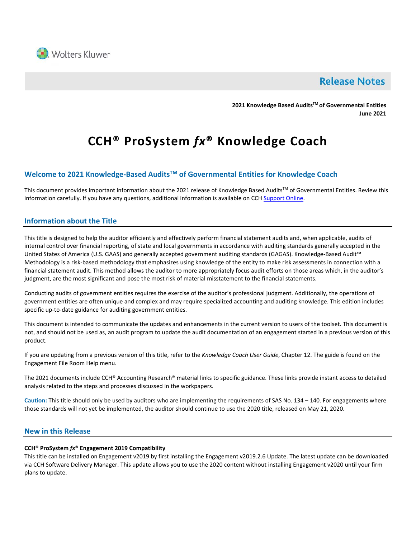

# **Release Notes**

**2021 Knowledge Based AuditsTM of Governmental Entities June 2021**

# **CCH® ProSystem** *fx***® Knowledge Coach**

# **Welcome to 2021 Knowledge-Based AuditsTM of Governmental Entities for Knowledge Coach**

This document provides important information about the 2021 release of Knowledge Based Audits™ of Governmental Entities. Review this information carefully. If you have any questions, additional information is available on CCH [Support Online.](http://support.cch.com/productsupport/)

# **Information about the Title**

This title is designed to help the auditor efficiently and effectively perform financial statement audits and, when applicable, audits of internal control over financial reporting, of state and local governments in accordance with auditing standards generally accepted in the United States of America (U.S. GAAS) and generally accepted government auditing standards (GAGAS). Knowledge-Based Audit™ Methodology is a risk-based methodology that emphasizes using knowledge of the entity to make risk assessments in connection with a financial statement audit. This method allows the auditor to more appropriately focus audit efforts on those areas which, in the auditor's judgment, are the most significant and pose the most risk of material misstatement to the financial statements.

Conducting audits of government entities requires the exercise of the auditor's professional judgment. Additionally, the operations of government entities are often unique and complex and may require specialized accounting and auditing knowledge. This edition includes specific up-to-date guidance for auditing government entities.

This document is intended to communicate the updates and enhancements in the current version to users of the toolset. This document is not, and should not be used as, an audit program to update the audit documentation of an engagement started in a previous version of this product.

If you are updating from a previous version of this title, refer to the *Knowledge Coach User Guide*, Chapter 12. The guide is found on the Engagement File Room Help menu.

The 2021 documents include CCH® Accounting Research® material links to specific guidance. These links provide instant access to detailed analysis related to the steps and processes discussed in the workpapers.

**Caution:** This title should only be used by auditors who are implementing the requirements of SAS No. 134 – 140. For engagements where those standards will not yet be implemented, the auditor should continue to use the 2020 title, released on May 21, 2020.

## **New in this Release**

#### **CCH® ProSystem** *fx***® Engagement 2019 Compatibility**

This title can be installed on Engagement v2019 by first installing the Engagement v2019.2.6 Update. The latest update can be downloaded via CCH Software Delivery Manager. This update allows you to use the 2020 content without installing Engagement v2020 until your firm plans to update.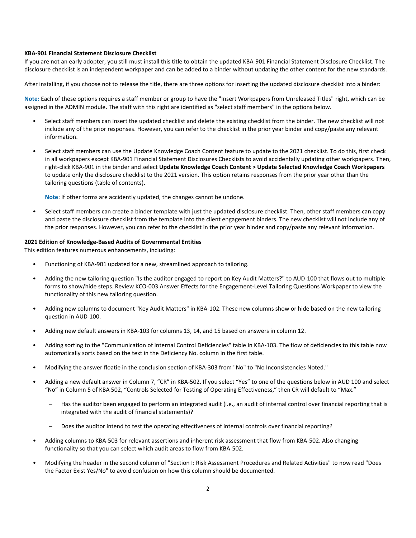#### **KBA-901 Financial Statement Disclosure Checklist**

If you are not an early adopter, you still must install this title to obtain the updated KBA-901 Financial Statement Disclosure Checklist. The disclosure checklist is an independent workpaper and can be added to a binder without updating the other content for the new standards.

After installing, if you choose not to release the title, there are three options for inserting the updated disclosure checklist into a binder:

**Note:** Each of these options requires a staff member or group to have the "Insert Workpapers from Unreleased Titles" right, which can be assigned in the ADMIN module. The staff with this right are identified as "select staff members" in the options below.

- Select staff members can insert the updated checklist and delete the existing checklist from the binder. The new checklist will not include any of the prior responses. However, you can refer to the checklist in the prior year binder and copy/paste any relevant information.
- Select staff members can use the Update Knowledge Coach Content feature to update to the 2021 checklist. To do this, first check in all workpapers except KBA-901 Financial Statement Disclosures Checklists to avoid accidentally updating other workpapers. Then, right-click KBA-901 in the binder and select **Update Knowledge Coach Content > Update Selected Knowledge Coach Workpapers** to update only the disclosure checklist to the 2021 version. This option retains responses from the prior year other than the tailoring questions (table of contents).

**Note**: If other forms are accidently updated, the changes cannot be undone.

• Select staff members can create a binder template with just the updated disclosure checklist. Then, other staff members can copy and paste the disclosure checklist from the template into the client engagement binders. The new checklist will not include any of the prior responses. However, you can refer to the checklist in the prior year binder and copy/paste any relevant information.

#### **2021 Edition of Knowledge-Based Audits of Governmental Entities**

This edition features numerous enhancements, including:

- Functioning of KBA-901 updated for a new, streamlined approach to tailoring.
- Adding the new tailoring question "Is the auditor engaged to report on Key Audit Matters?" to AUD-100 that flows out to multiple forms to show/hide steps. Review KCO-003 Answer Effects for the Engagement-Level Tailoring Questions Workpaper to view the functionality of this new tailoring question.
- Adding new columns to document "Key Audit Matters" in KBA-102. These new columns show or hide based on the new tailoring question in AUD-100.
- Adding new default answers in KBA-103 for columns 13, 14, and 15 based on answers in column 12.
- Adding sorting to the "Communication of Internal Control Deficiencies" table in KBA-103. The flow of deficiencies to this table now automatically sorts based on the text in the Deficiency No. column in the first table.
- Modifying the answer floatie in the conclusion section of KBA-303 from "No" to "No Inconsistencies Noted."
- Adding a new default answer in Column 7, "CR" in KBA-502. If you select "Yes" to one of the questions below in AUD 100 and select "No" in Column 5 of KBA 502, "Controls Selected for Testing of Operating Effectiveness," then CR will default to "Max."
	- Has the auditor been engaged to perform an integrated audit (i.e., an audit of internal control over financial reporting that is integrated with the audit of financial statements)?
	- Does the auditor intend to test the operating effectiveness of internal controls over financial reporting?
- Adding columns to KBA-503 for relevant assertions and inherent risk assessment that flow from KBA-502. Also changing functionality so that you can select which audit areas to flow from KBA-502.
- Modifying the header in the second column of "Section I: Risk Assessment Procedures and Related Activities" to now read "Does the Factor Exist Yes/No" to avoid confusion on how this column should be documented.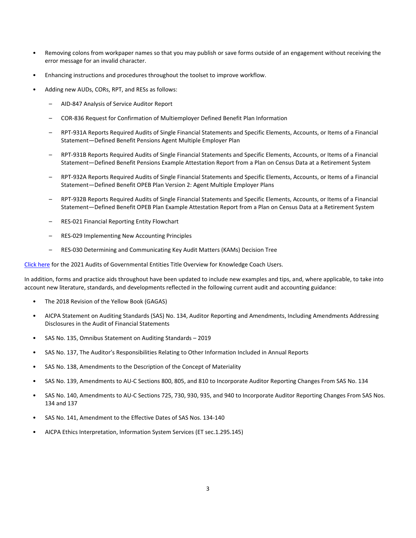- Removing colons from workpaper names so that you may publish or save forms outside of an engagement without receiving the error message for an invalid character.
- Enhancing instructions and procedures throughout the toolset to improve workflow.
- Adding new AUDs, CORs, RPT, and RESs as follows:
	- AID-847 Analysis of Service Auditor Report
	- COR-836 Request for Confirmation of Multiemployer Defined Benefit Plan Information
	- RPT-931A Reports Required Audits of Single Financial Statements and Specific Elements, Accounts, or Items of a Financial Statement—Defined Benefit Pensions Agent Multiple Employer Plan
	- RPT-931B Reports Required Audits of Single Financial Statements and Specific Elements, Accounts, or Items of a Financial Statement—Defined Benefit Pensions Example Attestation Report from a Plan on Census Data at a Retirement System
	- RPT-932A Reports Required Audits of Single Financial Statements and Specific Elements, Accounts, or Items of a Financial Statement—Defined Benefit OPEB Plan Version 2: Agent Multiple Employer Plans
	- RPT-932B Reports Required Audits of Single Financial Statements and Specific Elements, Accounts, or Items of a Financial Statement—Defined Benefit OPEB Plan Example Attestation Report from a Plan on Census Data at a Retirement System
	- RES-021 Financial Reporting Entity Flowchart
	- RES-029 Implementing New Accounting Principles
	- RES-030 Determining and Communicating Key Audit Matters (KAMs) Decision Tree

[Click here](http://support.cch.com/updates/KnowledgeCoach/pdf/guides_tab/2021%20Governmental%20Entities%20Title%20Overview%20for%20Knowledge%20Coach%20Users.pdf) for the 2021 Audits of Governmental Entities Title Overview for Knowledge Coach Users.

In addition, forms and practice aids throughout have been updated to include new examples and tips, and, where applicable, to take into account new literature, standards, and developments reflected in the following current audit and accounting guidance:

- The 2018 Revision of the Yellow Book (GAGAS)
- AICPA Statement on Auditing Standards (SAS) No. 134, Auditor Reporting and Amendments, Including Amendments Addressing Disclosures in the Audit of Financial Statements
- SAS No. 135, Omnibus Statement on Auditing Standards 2019
- SAS No. 137, The Auditor's Responsibilities Relating to Other Information Included in Annual Reports
- SAS No. 138, Amendments to the Description of the Concept of Materiality
- SAS No. 139, Amendments to AU-C Sections 800, 805, and 810 to Incorporate Auditor Reporting Changes From SAS No. 134
- SAS No. 140, Amendments to AU-C Sections 725, 730, 930, 935, and 940 to Incorporate Auditor Reporting Changes From SAS Nos. 134 and 137
- SAS No. 141, Amendment to the Effective Dates of SAS Nos. 134-140
- AICPA Ethics Interpretation, Information System Services (ET sec.1.295.145)